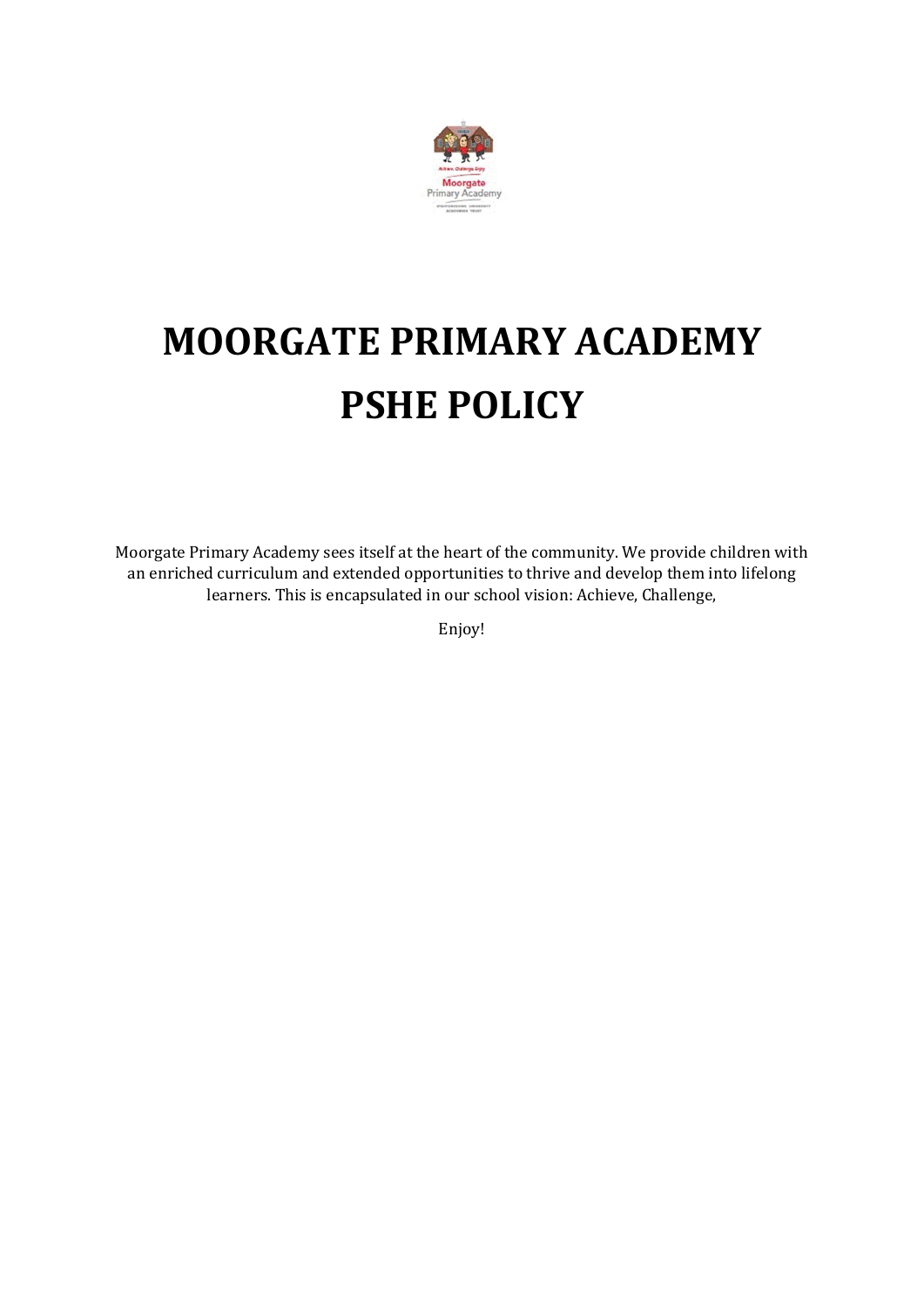

## **MOORGATE PRIMARY ACADEMY PSHE POLICY**

Moorgate Primary Academy sees itself at the heart of the community. We provide children with an enriched curriculum and extended opportunities to thrive and develop them into lifelong learners. This is encapsulated in our school vision: Achieve, Challenge,

Enjoy!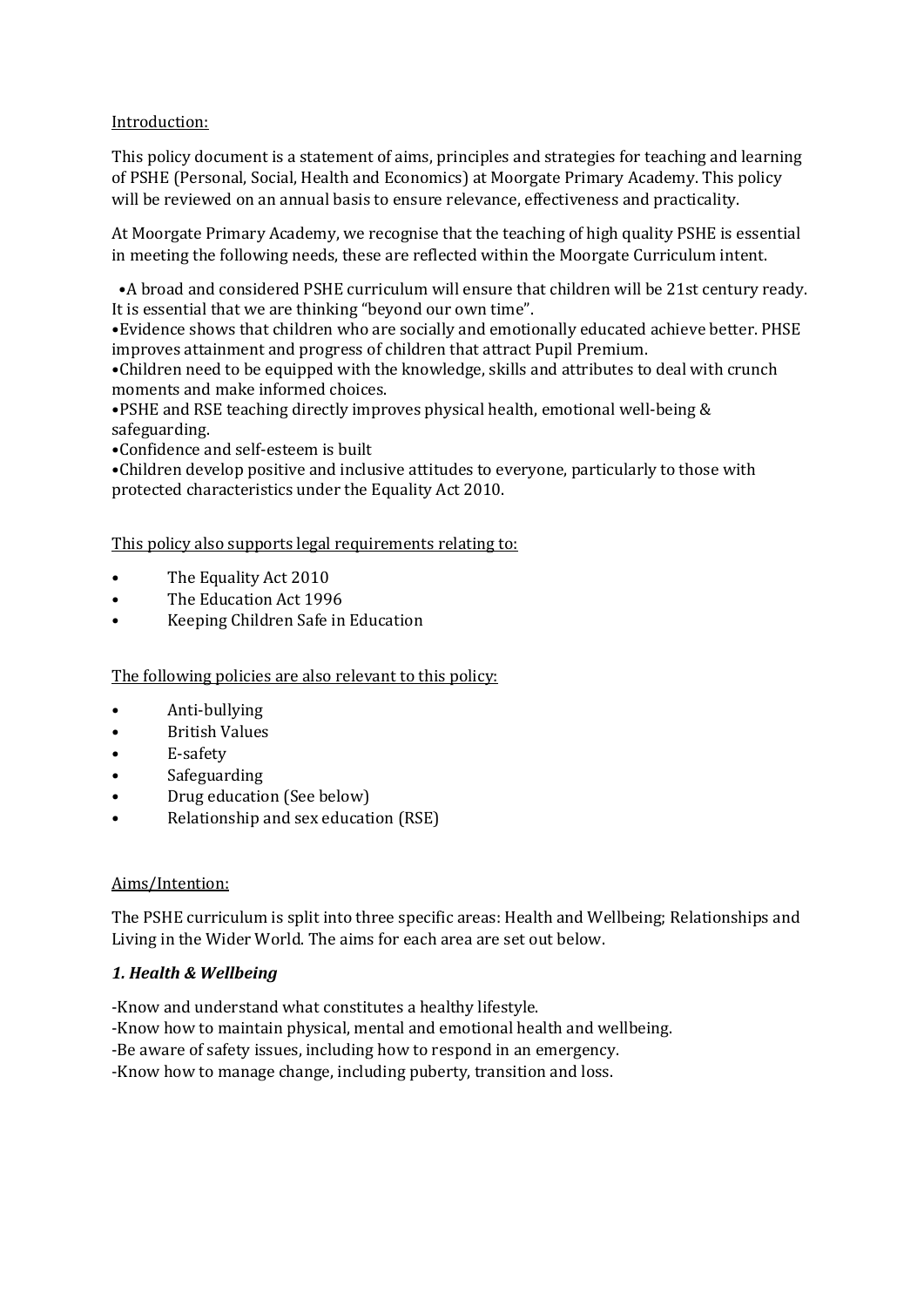Introduction:

This policy document is a statement of aims, principles and strategies for teaching and learning of PSHE (Personal, Social, Health and Economics) at Moorgate Primary Academy. This policy will be reviewed on an annual basis to ensure relevance, effectiveness and practicality.

At Moorgate Primary Academy, we recognise that the teaching of high quality PSHE is essential in meeting the following needs, these are reflected within the Moorgate Curriculum intent.

 •A broad and considered PSHE curriculum will ensure that children will be 21st century ready. It is essential that we are thinking "beyond our own time".

•Evidence shows that children who are socially and emotionally educated achieve better. PHSE improves attainment and progress of children that attract Pupil Premium.

•Children need to be equipped with the knowledge, skills and attributes to deal with crunch moments and make informed choices.

•PSHE and RSE teaching directly improves physical health, emotional well-being & safeguarding.

•Confidence and self-esteem is built

•Children develop positive and inclusive attitudes to everyone, particularly to those with protected characteristics under the Equality Act 2010.

This policy also supports legal requirements relating to:

- The Equality Act 2010
- The Education Act 1996
- Keeping Children Safe in Education

The following policies are also relevant to this policy:

- Anti-bullying
- British Values
- E-safety
- **Safeguarding**
- Drug education (See below)
- Relationship and sex education (RSE)

#### Aims/Intention:

The PSHE curriculum is split into three specific areas: Health and Wellbeing; Relationships and Living in the Wider World. The aims for each area are set out below.

#### *1. Health & Wellbeing*

- -Know and understand what constitutes a healthy lifestyle.
- -Know how to maintain physical, mental and emotional health and wellbeing.
- -Be aware of safety issues, including how to respond in an emergency.
- -Know how to manage change, including puberty, transition and loss.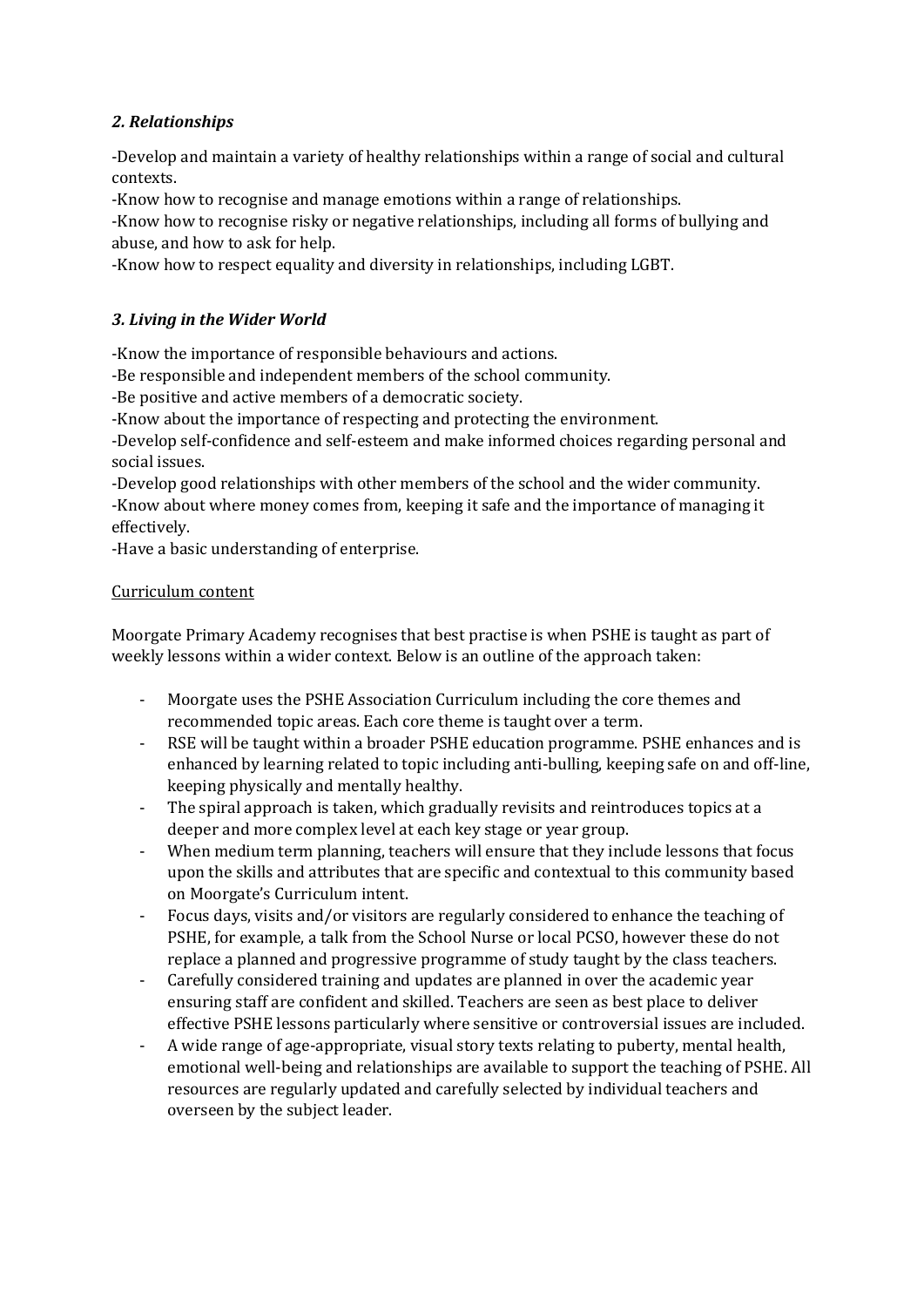## *2. Relationships*

-Develop and maintain a variety of healthy relationships within a range of social and cultural contexts.

-Know how to recognise and manage emotions within a range of relationships.

-Know how to recognise risky or negative relationships, including all forms of bullying and abuse, and how to ask for help.

-Know how to respect equality and diversity in relationships, including LGBT.

## *3. Living in the Wider World*

-Know the importance of responsible behaviours and actions.

-Be responsible and independent members of the school community.

-Be positive and active members of a democratic society.

-Know about the importance of respecting and protecting the environment.

-Develop self-confidence and self-esteem and make informed choices regarding personal and social issues.

-Develop good relationships with other members of the school and the wider community. -Know about where money comes from, keeping it safe and the importance of managing it effectively.

-Have a basic understanding of enterprise.

#### Curriculum content

Moorgate Primary Academy recognises that best practise is when PSHE is taught as part of weekly lessons within a wider context. Below is an outline of the approach taken:

- Moorgate uses the PSHE Association Curriculum including the core themes and recommended topic areas. Each core theme is taught over a term.
- RSE will be taught within a broader PSHE education programme. PSHE enhances and is enhanced by learning related to topic including anti-bulling, keeping safe on and off-line, keeping physically and mentally healthy.
- The spiral approach is taken, which gradually revisits and reintroduces topics at a deeper and more complex level at each key stage or year group.
- When medium term planning, teachers will ensure that they include lessons that focus upon the skills and attributes that are specific and contextual to this community based on Moorgate's Curriculum intent.
- Focus days, visits and/or visitors are regularly considered to enhance the teaching of PSHE, for example, a talk from the School Nurse or local PCSO, however these do not replace a planned and progressive programme of study taught by the class teachers.
- Carefully considered training and updates are planned in over the academic year ensuring staff are confident and skilled. Teachers are seen as best place to deliver effective PSHE lessons particularly where sensitive or controversial issues are included.
- A wide range of age-appropriate, visual story texts relating to puberty, mental health, emotional well-being and relationships are available to support the teaching of PSHE. All resources are regularly updated and carefully selected by individual teachers and overseen by the subject leader.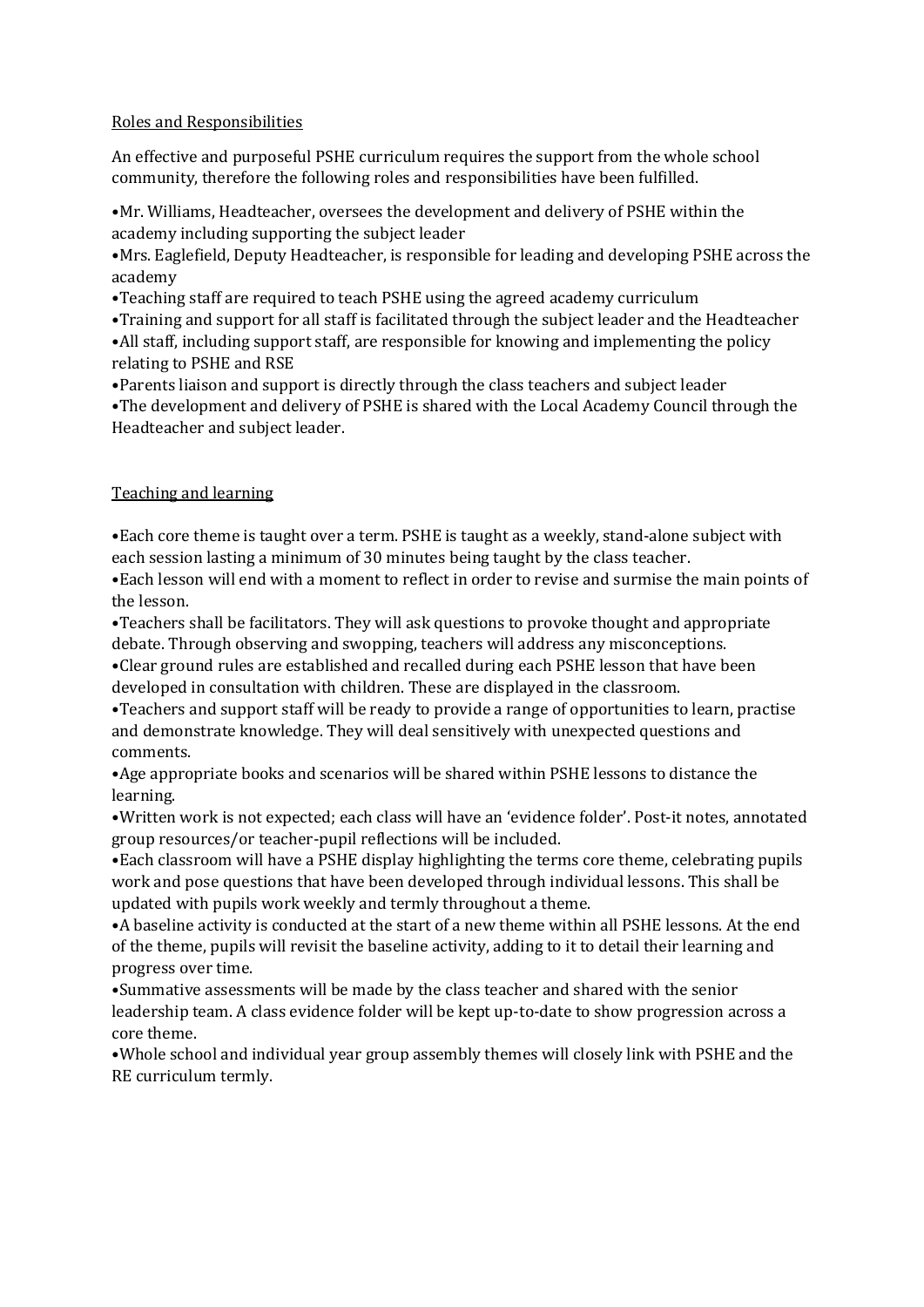#### Roles and Responsibilities

An effective and purposeful PSHE curriculum requires the support from the whole school community, therefore the following roles and responsibilities have been fulfilled.

•Mr. Williams, Headteacher, oversees the development and delivery of PSHE within the academy including supporting the subject leader

•Mrs. Eaglefield, Deputy Headteacher, is responsible for leading and developing PSHE across the academy

•Teaching staff are required to teach PSHE using the agreed academy curriculum

•Training and support for all staff is facilitated through the subject leader and the Headteacher •All staff, including support staff, are responsible for knowing and implementing the policy relating to PSHE and RSE

•Parents liaison and support is directly through the class teachers and subject leader •The development and delivery of PSHE is shared with the Local Academy Council through the Headteacher and subject leader.

#### Teaching and learning

•Each core theme is taught over a term. PSHE is taught as a weekly, stand-alone subject with each session lasting a minimum of 30 minutes being taught by the class teacher.

•Each lesson will end with a moment to reflect in order to revise and surmise the main points of the lesson.

•Teachers shall be facilitators. They will ask questions to provoke thought and appropriate debate. Through observing and swopping, teachers will address any misconceptions.

•Clear ground rules are established and recalled during each PSHE lesson that have been developed in consultation with children. These are displayed in the classroom.

•Teachers and support staff will be ready to provide a range of opportunities to learn, practise and demonstrate knowledge. They will deal sensitively with unexpected questions and comments.

•Age appropriate books and scenarios will be shared within PSHE lessons to distance the learning.

•Written work is not expected; each class will have an 'evidence folder'. Post-it notes, annotated group resources/or teacher-pupil reflections will be included.

•Each classroom will have a PSHE display highlighting the terms core theme, celebrating pupils work and pose questions that have been developed through individual lessons. This shall be updated with pupils work weekly and termly throughout a theme.

•A baseline activity is conducted at the start of a new theme within all PSHE lessons. At the end of the theme, pupils will revisit the baseline activity, adding to it to detail their learning and progress over time.

•Summative assessments will be made by the class teacher and shared with the senior leadership team. A class evidence folder will be kept up-to-date to show progression across a core theme.

•Whole school and individual year group assembly themes will closely link with PSHE and the RE curriculum termly.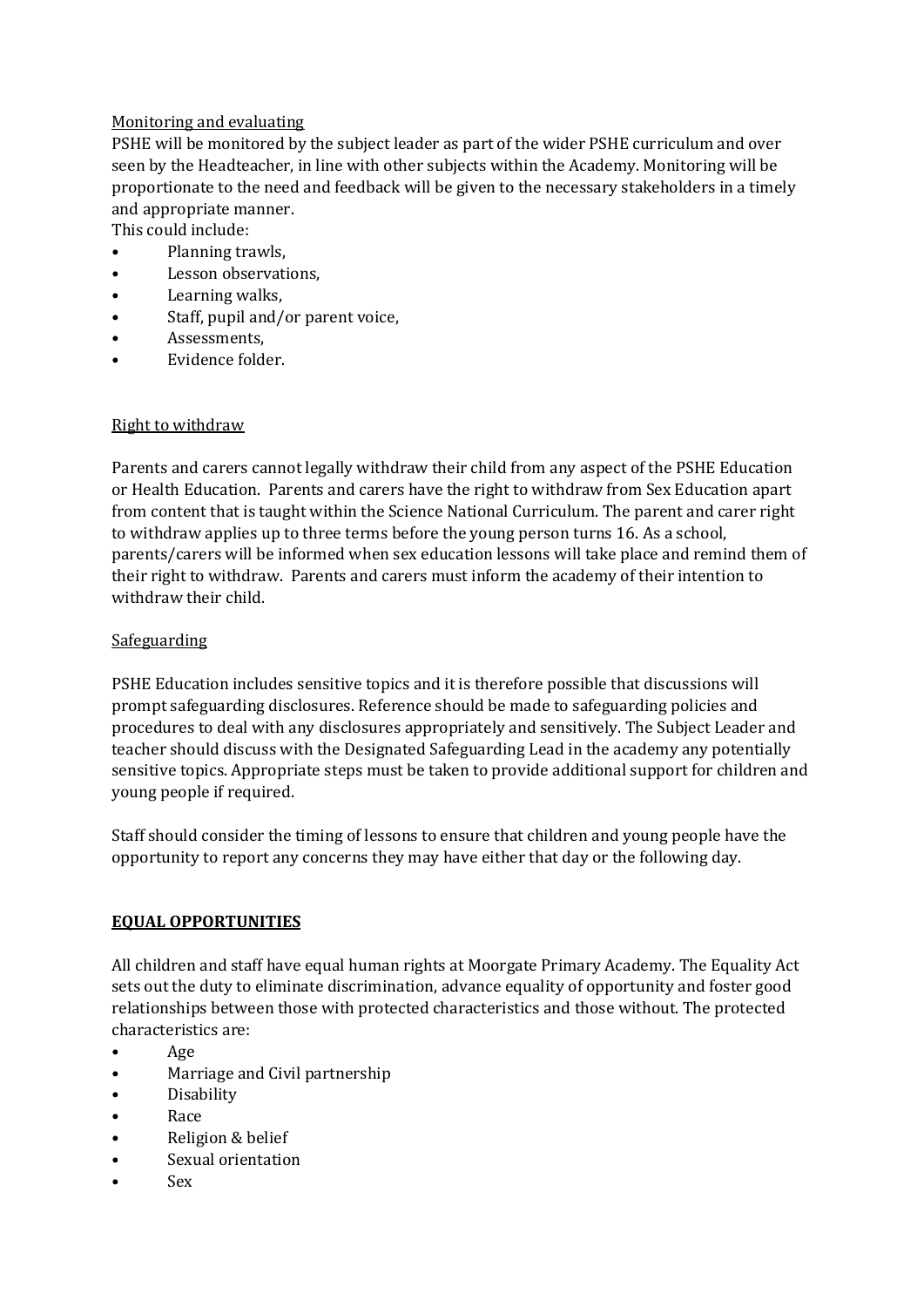## Monitoring and evaluating

PSHE will be monitored by the subject leader as part of the wider PSHE curriculum and over seen by the Headteacher, in line with other subjects within the Academy. Monitoring will be proportionate to the need and feedback will be given to the necessary stakeholders in a timely and appropriate manner.

This could include:

- Planning trawls,
- Lesson observations,
- Learning walks,
- Staff, pupil and/or parent voice,
- Assessments,
- Evidence folder.

## Right to withdraw

Parents and carers cannot legally withdraw their child from any aspect of the PSHE Education or Health Education. Parents and carers have the right to withdraw from Sex Education apart from content that is taught within the Science National Curriculum. The parent and carer right to withdraw applies up to three terms before the young person turns 16. As a school, parents/carers will be informed when sex education lessons will take place and remind them of their right to withdraw. Parents and carers must inform the academy of their intention to withdraw their child.

## Safeguarding

PSHE Education includes sensitive topics and it is therefore possible that discussions will prompt safeguarding disclosures. Reference should be made to safeguarding policies and procedures to deal with any disclosures appropriately and sensitively. The Subject Leader and teacher should discuss with the Designated Safeguarding Lead in the academy any potentially sensitive topics. Appropriate steps must be taken to provide additional support for children and young people if required.

Staff should consider the timing of lessons to ensure that children and young people have the opportunity to report any concerns they may have either that day or the following day.

## **EQUAL OPPORTUNITIES**

All children and staff have equal human rights at Moorgate Primary Academy. The Equality Act sets out the duty to eliminate discrimination, advance equality of opportunity and foster good relationships between those with protected characteristics and those without. The protected characteristics are:

- Age
- Marriage and Civil partnership
- Disability
- Race
- Religion & belief
- Sexual orientation
- Sex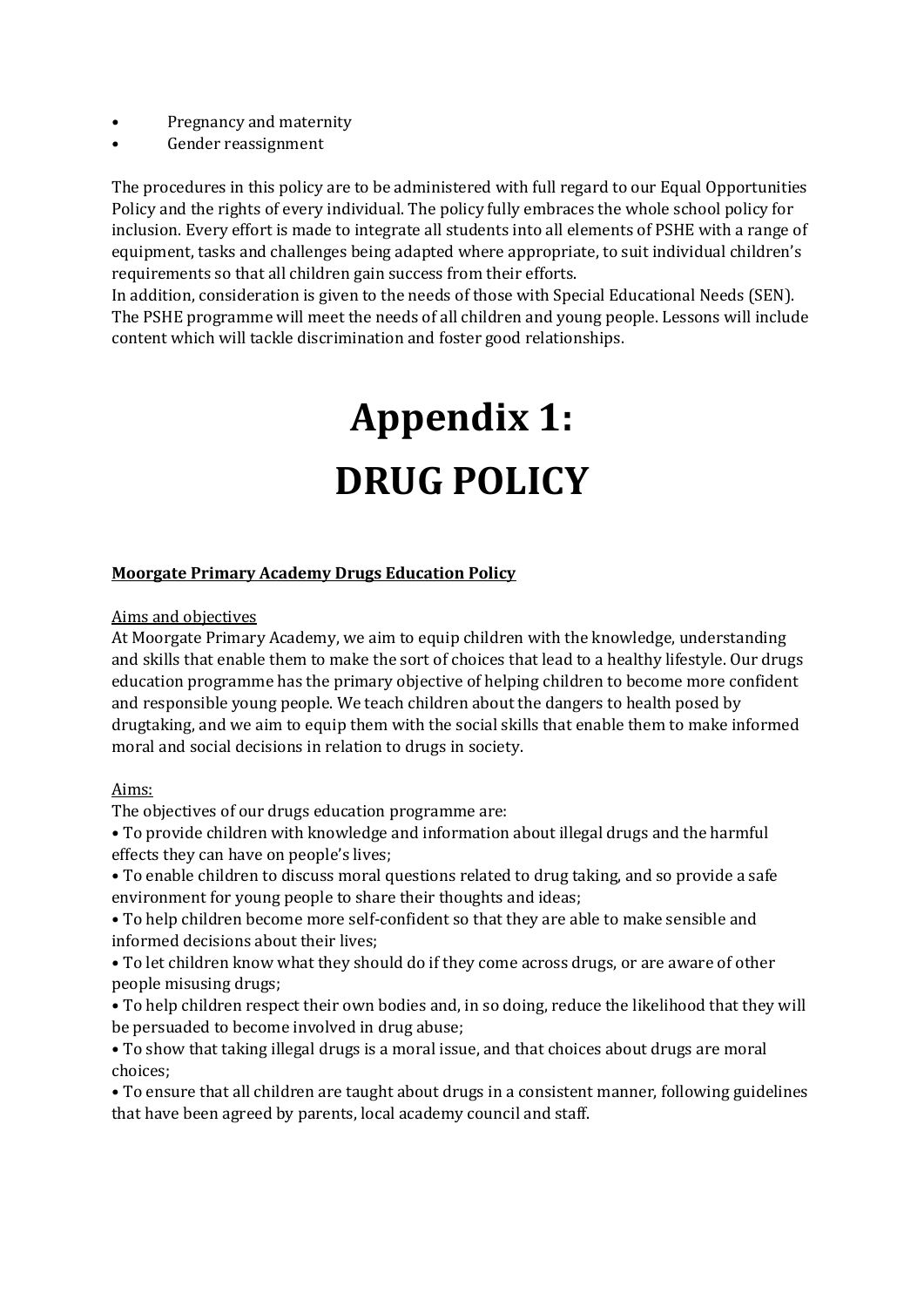- Pregnancy and maternity
- Gender reassignment

The procedures in this policy are to be administered with full regard to our Equal Opportunities Policy and the rights of every individual. The policy fully embraces the whole school policy for inclusion. Every effort is made to integrate all students into all elements of PSHE with a range of equipment, tasks and challenges being adapted where appropriate, to suit individual children's requirements so that all children gain success from their efforts.

In addition, consideration is given to the needs of those with Special Educational Needs (SEN). The PSHE programme will meet the needs of all children and young people. Lessons will include content which will tackle discrimination and foster good relationships.

# **Appendix 1: DRUG POLICY**

#### **Moorgate Primary Academy Drugs Education Policy**

#### Aims and objectives

At Moorgate Primary Academy, we aim to equip children with the knowledge, understanding and skills that enable them to make the sort of choices that lead to a healthy lifestyle. Our drugs education programme has the primary objective of helping children to become more confident and responsible young people. We teach children about the dangers to health posed by drugtaking, and we aim to equip them with the social skills that enable them to make informed moral and social decisions in relation to drugs in society.

#### Aims:

The objectives of our drugs education programme are:

• To provide children with knowledge and information about illegal drugs and the harmful effects they can have on people's lives;

• To enable children to discuss moral questions related to drug taking, and so provide a safe environment for young people to share their thoughts and ideas;

• To help children become more self-confident so that they are able to make sensible and informed decisions about their lives;

• To let children know what they should do if they come across drugs, or are aware of other people misusing drugs;

• To help children respect their own bodies and, in so doing, reduce the likelihood that they will be persuaded to become involved in drug abuse;

• To show that taking illegal drugs is a moral issue, and that choices about drugs are moral choices;

• To ensure that all children are taught about drugs in a consistent manner, following guidelines that have been agreed by parents, local academy council and staff.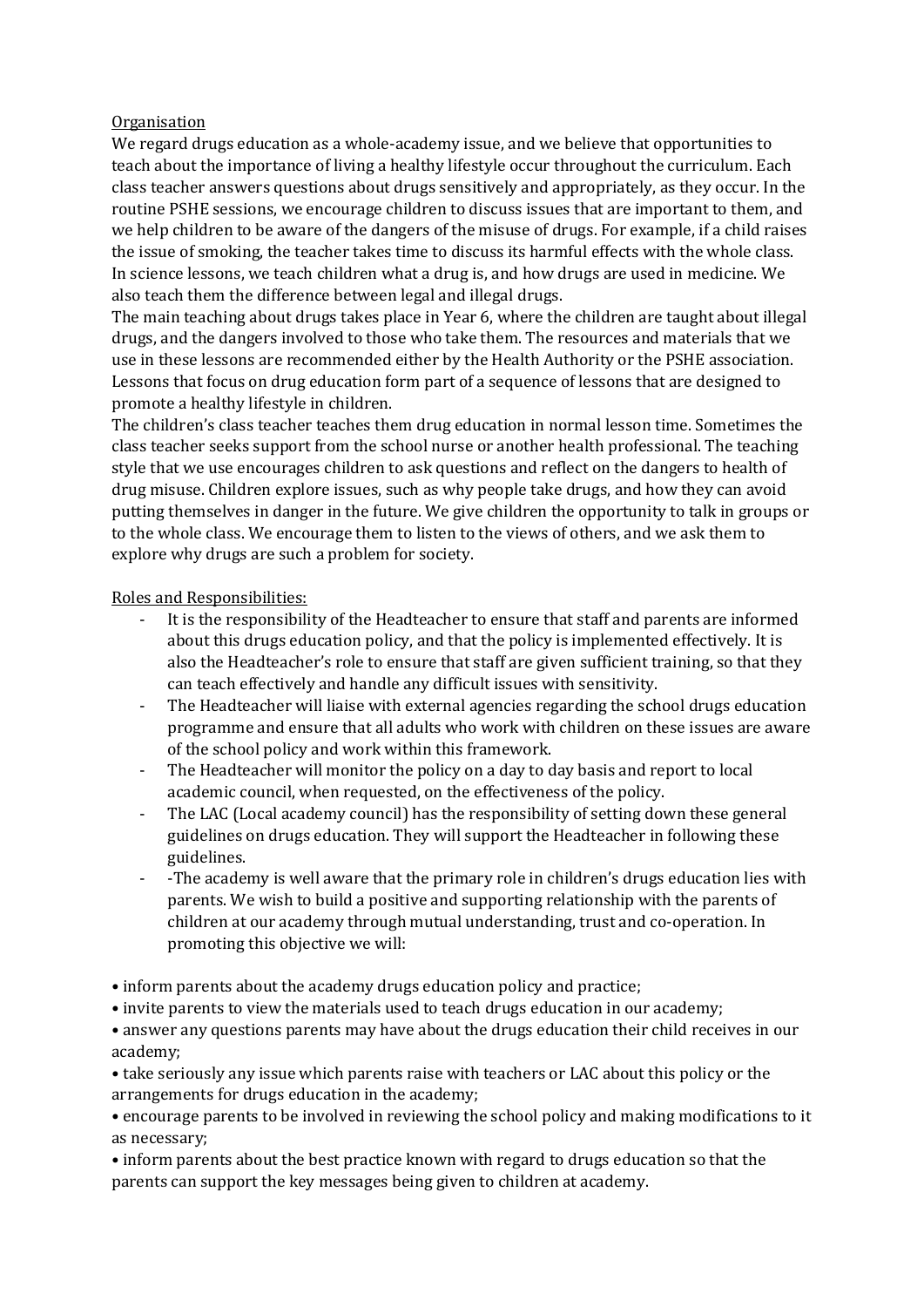#### **Organisation**

We regard drugs education as a whole-academy issue, and we believe that opportunities to teach about the importance of living a healthy lifestyle occur throughout the curriculum. Each class teacher answers questions about drugs sensitively and appropriately, as they occur. In the routine PSHE sessions, we encourage children to discuss issues that are important to them, and we help children to be aware of the dangers of the misuse of drugs. For example, if a child raises the issue of smoking, the teacher takes time to discuss its harmful effects with the whole class. In science lessons, we teach children what a drug is, and how drugs are used in medicine. We also teach them the difference between legal and illegal drugs.

The main teaching about drugs takes place in Year 6, where the children are taught about illegal drugs, and the dangers involved to those who take them. The resources and materials that we use in these lessons are recommended either by the Health Authority or the PSHE association. Lessons that focus on drug education form part of a sequence of lessons that are designed to promote a healthy lifestyle in children.

The children's class teacher teaches them drug education in normal lesson time. Sometimes the class teacher seeks support from the school nurse or another health professional. The teaching style that we use encourages children to ask questions and reflect on the dangers to health of drug misuse. Children explore issues, such as why people take drugs, and how they can avoid putting themselves in danger in the future. We give children the opportunity to talk in groups or to the whole class. We encourage them to listen to the views of others, and we ask them to explore why drugs are such a problem for society.

Roles and Responsibilities:

- It is the responsibility of the Headteacher to ensure that staff and parents are informed about this drugs education policy, and that the policy is implemented effectively. It is also the Headteacher's role to ensure that staff are given sufficient training, so that they can teach effectively and handle any difficult issues with sensitivity.
- The Headteacher will liaise with external agencies regarding the school drugs education programme and ensure that all adults who work with children on these issues are aware of the school policy and work within this framework.
- The Headteacher will monitor the policy on a day to day basis and report to local academic council, when requested, on the effectiveness of the policy.
- The LAC (Local academy council) has the responsibility of setting down these general guidelines on drugs education. They will support the Headteacher in following these guidelines.
- -The academy is well aware that the primary role in children's drugs education lies with parents. We wish to build a positive and supporting relationship with the parents of children at our academy through mutual understanding, trust and co-operation. In promoting this objective we will:

• inform parents about the academy drugs education policy and practice;

• invite parents to view the materials used to teach drugs education in our academy;

• answer any questions parents may have about the drugs education their child receives in our academy;

• take seriously any issue which parents raise with teachers or LAC about this policy or the arrangements for drugs education in the academy;

• encourage parents to be involved in reviewing the school policy and making modifications to it as necessary;

• inform parents about the best practice known with regard to drugs education so that the parents can support the key messages being given to children at academy.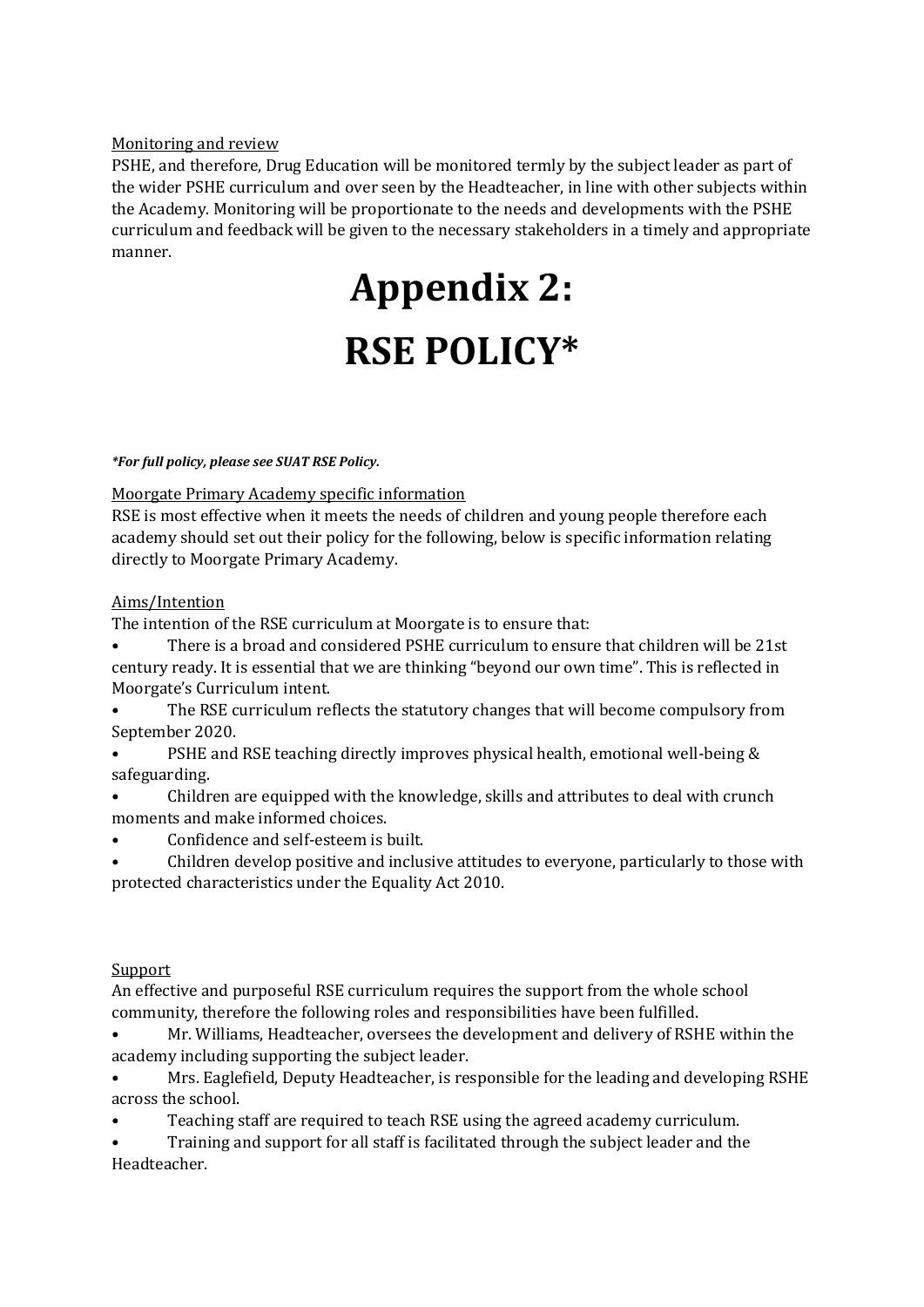### Monitoring and review

PSHE, and therefore, Drug Education will be monitored termly by the subject leader as part of the wider PSHE curriculum and over seen by the Headteacher, in line with other subjects within the Academy. Monitoring will be proportionate to the needs and developments with the PSHE curriculum and feedback will be given to the necessary stakeholders in a timely and appropriate manner.

## **Appendix 2: RSE POLICY\***

#### *\*For full policy, please see SUAT RSE Policy.*

Moorgate Primary Academy specific information

RSE is most effective when it meets the needs of children and young people therefore each academy should set out their policy for the following, below is specific information relating directly to Moorgate Primary Academy.

## Aims/Intention

The intention of the RSE curriculum at Moorgate is to ensure that:

• There is a broad and considered PSHE curriculum to ensure that children will be 21st century ready. It is essential that we are thinking "beyond our own time". This is reflected in Moorgate's Curriculum intent.

• The RSE curriculum reflects the statutory changes that will become compulsory from September 2020.

- PSHE and RSE teaching directly improves physical health, emotional well-being & safeguarding.
- Children are equipped with the knowledge, skills and attributes to deal with crunch moments and make informed choices.
- Confidence and self-esteem is built.
- Children develop positive and inclusive attitudes to everyone, particularly to those with protected characteristics under the Equality Act 2010.

#### **Support**

An effective and purposeful RSE curriculum requires the support from the whole school community, therefore the following roles and responsibilities have been fulfilled.

- Mr. Williams, Headteacher, oversees the development and delivery of RSHE within the academy including supporting the subject leader.
- Mrs. Eaglefield, Deputy Headteacher, is responsible for the leading and developing RSHE across the school.
- Teaching staff are required to teach RSE using the agreed academy curriculum.
- Training and support for all staff is facilitated through the subject leader and the Headteacher.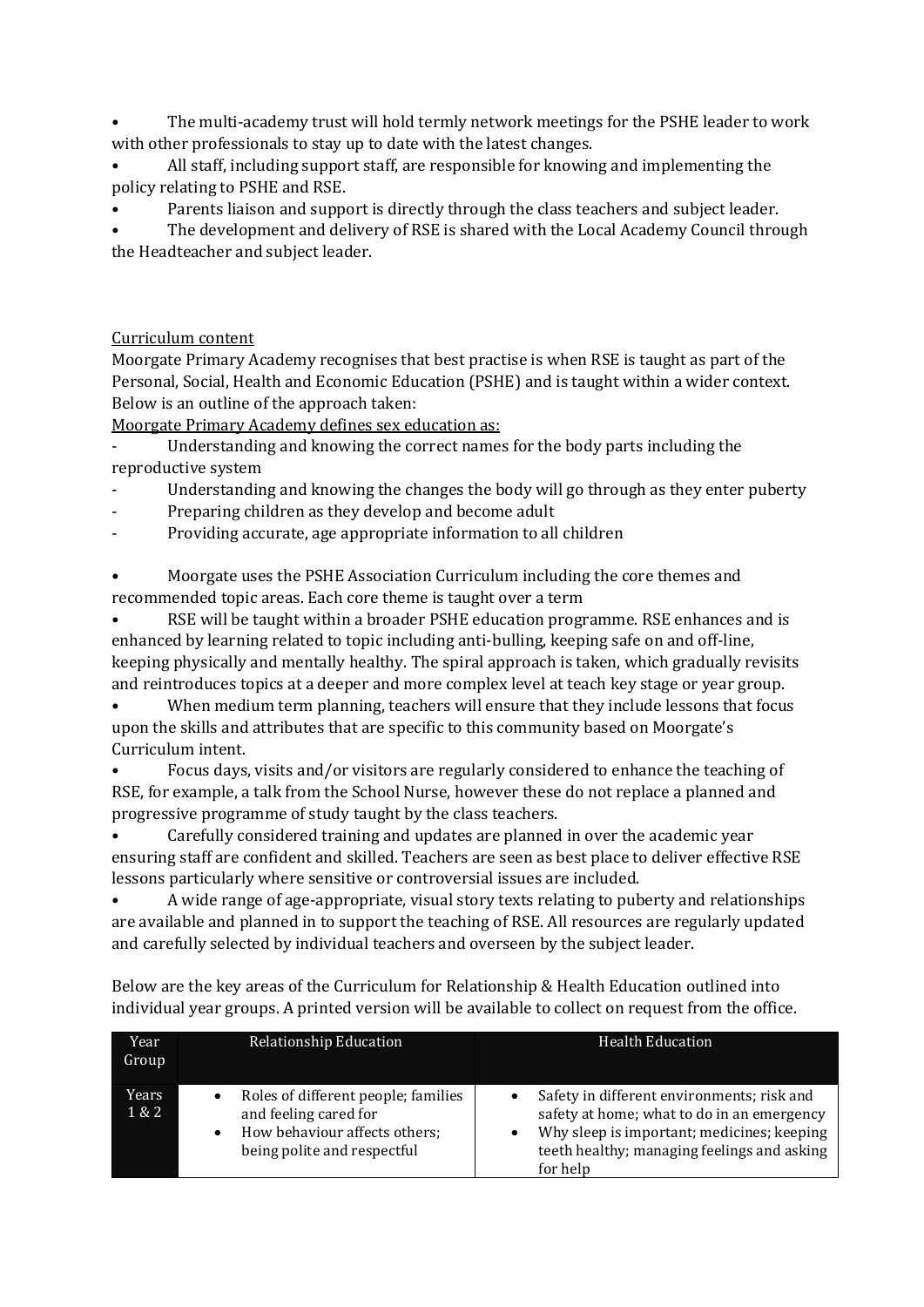• The multi-academy trust will hold termly network meetings for the PSHE leader to work with other professionals to stay up to date with the latest changes.

• All staff, including support staff, are responsible for knowing and implementing the policy relating to PSHE and RSE.

• Parents liaison and support is directly through the class teachers and subject leader.

• The development and delivery of RSE is shared with the Local Academy Council through the Headteacher and subject leader.

## Curriculum content

Moorgate Primary Academy recognises that best practise is when RSE is taught as part of the Personal, Social, Health and Economic Education (PSHE) and is taught within a wider context. Below is an outline of the approach taken:

Moorgate Primary Academy defines sex education as:

- Understanding and knowing the correct names for the body parts including the reproductive system

- Understanding and knowing the changes the body will go through as they enter puberty
- Preparing children as they develop and become adult
- Providing accurate, age appropriate information to all children

• Moorgate uses the PSHE Association Curriculum including the core themes and recommended topic areas. Each core theme is taught over a term

• RSE will be taught within a broader PSHE education programme. RSE enhances and is enhanced by learning related to topic including anti-bulling, keeping safe on and off-line, keeping physically and mentally healthy. The spiral approach is taken, which gradually revisits and reintroduces topics at a deeper and more complex level at teach key stage or year group.

When medium term planning, teachers will ensure that they include lessons that focus upon the skills and attributes that are specific to this community based on Moorgate's Curriculum intent.

• Focus days, visits and/or visitors are regularly considered to enhance the teaching of RSE, for example, a talk from the School Nurse, however these do not replace a planned and progressive programme of study taught by the class teachers.

• Carefully considered training and updates are planned in over the academic year ensuring staff are confident and skilled. Teachers are seen as best place to deliver effective RSE lessons particularly where sensitive or controversial issues are included.

• A wide range of age-appropriate, visual story texts relating to puberty and relationships are available and planned in to support the teaching of RSE. All resources are regularly updated and carefully selected by individual teachers and overseen by the subject leader.

| Year<br>Group  | Relationship Education                                                                                                                    | <b>Health Education</b>                                                                                                                                                                           |
|----------------|-------------------------------------------------------------------------------------------------------------------------------------------|---------------------------------------------------------------------------------------------------------------------------------------------------------------------------------------------------|
| Years<br>1 & 2 | Roles of different people; families<br>and feeling cared for<br>How behaviour affects others;<br>$\bullet$<br>being polite and respectful | Safety in different environments; risk and<br>safety at home; what to do in an emergency<br>Why sleep is important; medicines; keeping<br>teeth healthy; managing feelings and asking<br>for help |

Below are the key areas of the Curriculum for Relationship & Health Education outlined into individual year groups. A printed version will be available to collect on request from the office.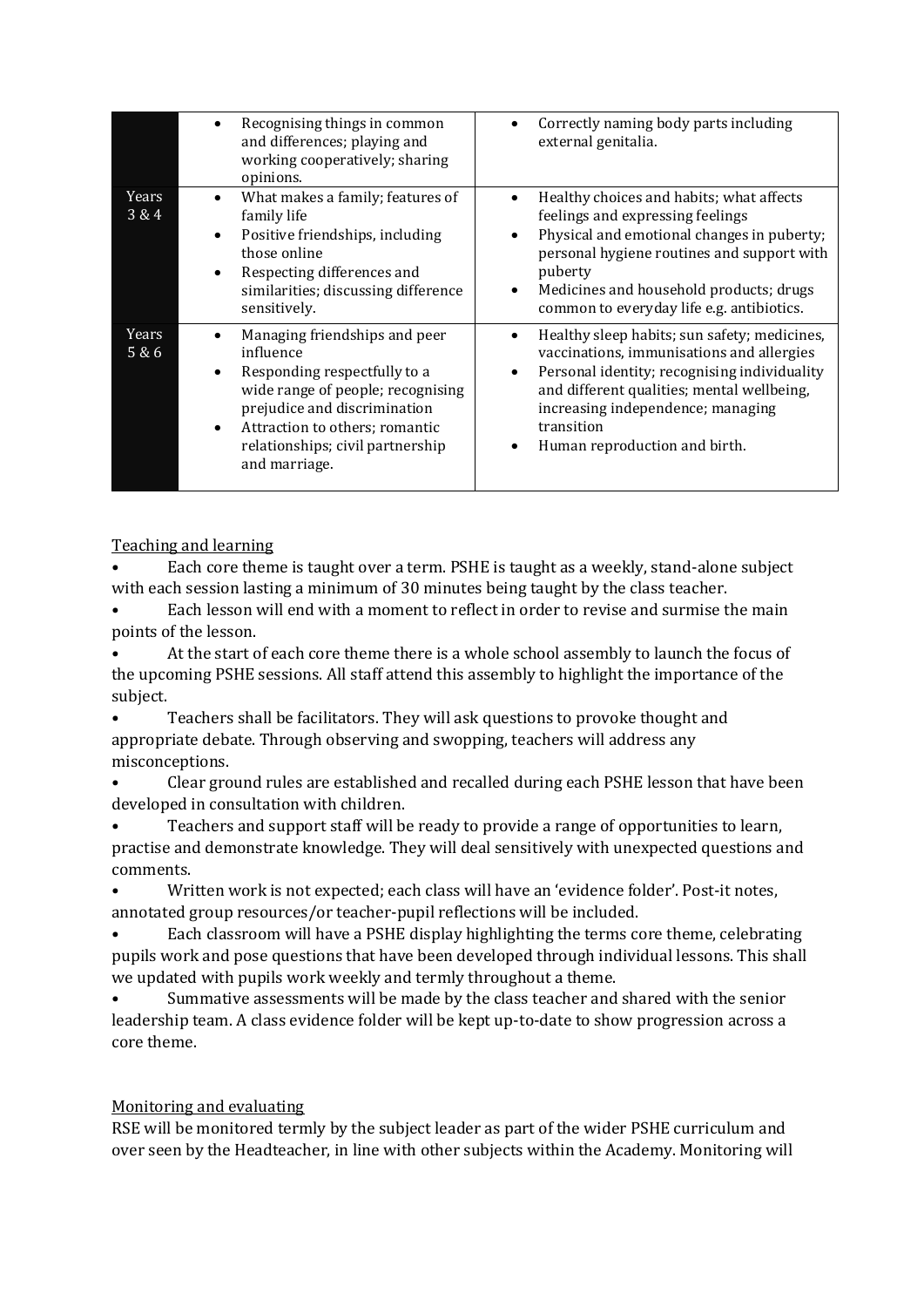|                | Recognising things in common<br>٠<br>and differences; playing and<br>working cooperatively; sharing<br>opinions.                                                                                                                                                      | Correctly naming body parts including<br>external genitalia.                                                                                                                                                                                                                                                       |
|----------------|-----------------------------------------------------------------------------------------------------------------------------------------------------------------------------------------------------------------------------------------------------------------------|--------------------------------------------------------------------------------------------------------------------------------------------------------------------------------------------------------------------------------------------------------------------------------------------------------------------|
| Years<br>3&4   | What makes a family; features of<br>$\bullet$<br>family life<br>Positive friendships, including<br>$\bullet$<br>those online<br>Respecting differences and<br>$\bullet$<br>similarities; discussing difference<br>sensitively.                                        | Healthy choices and habits; what affects<br>feelings and expressing feelings<br>Physical and emotional changes in puberty;<br>personal hygiene routines and support with<br>puberty<br>Medicines and household products; drugs<br>$\bullet$<br>common to everyday life e.g. antibiotics.                           |
| Years<br>5 & 6 | Managing friendships and peer<br>٠<br>influence<br>Responding respectfully to a<br>$\bullet$<br>wide range of people; recognising<br>prejudice and discrimination<br>Attraction to others; romantic<br>$\bullet$<br>relationships; civil partnership<br>and marriage. | Healthy sleep habits; sun safety; medicines,<br>$\bullet$<br>vaccinations, immunisations and allergies<br>Personal identity; recognising individuality<br>$\bullet$<br>and different qualities; mental wellbeing,<br>increasing independence; managing<br>transition<br>Human reproduction and birth.<br>$\bullet$ |

Teaching and learning

• Each core theme is taught over a term. PSHE is taught as a weekly, stand-alone subject with each session lasting a minimum of 30 minutes being taught by the class teacher.

• Each lesson will end with a moment to reflect in order to revise and surmise the main points of the lesson.

• At the start of each core theme there is a whole school assembly to launch the focus of the upcoming PSHE sessions. All staff attend this assembly to highlight the importance of the subject.

• Teachers shall be facilitators. They will ask questions to provoke thought and appropriate debate. Through observing and swopping, teachers will address any misconceptions.

• Clear ground rules are established and recalled during each PSHE lesson that have been developed in consultation with children.

• Teachers and support staff will be ready to provide a range of opportunities to learn, practise and demonstrate knowledge. They will deal sensitively with unexpected questions and comments.

• Written work is not expected; each class will have an 'evidence folder'. Post-it notes, annotated group resources/or teacher-pupil reflections will be included.

• Each classroom will have a PSHE display highlighting the terms core theme, celebrating pupils work and pose questions that have been developed through individual lessons. This shall we updated with pupils work weekly and termly throughout a theme.

• Summative assessments will be made by the class teacher and shared with the senior leadership team. A class evidence folder will be kept up-to-date to show progression across a core theme.

## Monitoring and evaluating

RSE will be monitored termly by the subject leader as part of the wider PSHE curriculum and over seen by the Headteacher, in line with other subjects within the Academy. Monitoring will